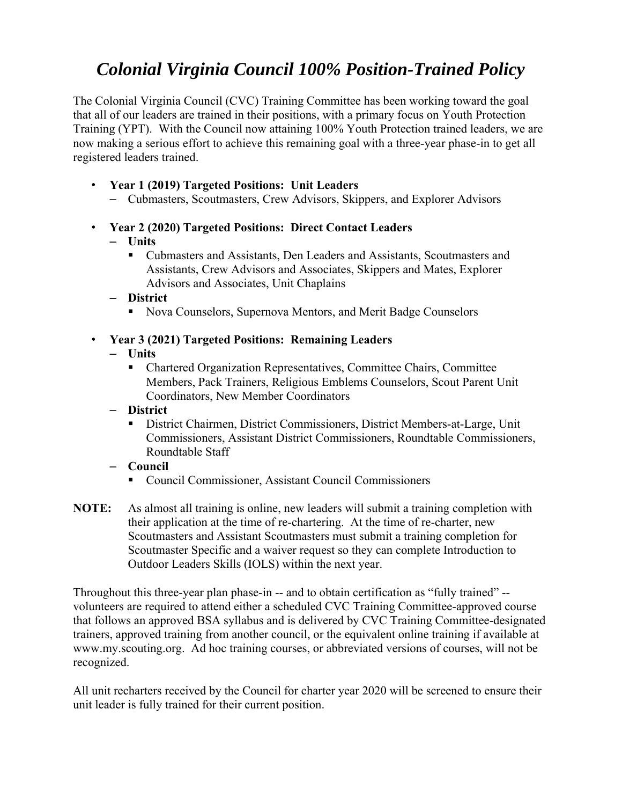# *Colonial Virginia Council 100% Position-Trained Policy*

The Colonial Virginia Council (CVC) Training Committee has been working toward the goal that all of our leaders are trained in their positions, with a primary focus on Youth Protection Training (YPT). With the Council now attaining 100% Youth Protection trained leaders, we are now making a serious effort to achieve this remaining goal with a three-year phase-in to get all registered leaders trained.

- **Year 1 (2019) Targeted Positions: Unit Leaders**
	- Cubmasters, Scoutmasters, Crew Advisors, Skippers, and Explorer Advisors
- **Year 2 (2020) Targeted Positions: Direct Contact Leaders**

### – **Units**

 Cubmasters and Assistants, Den Leaders and Assistants, Scoutmasters and Assistants, Crew Advisors and Associates, Skippers and Mates, Explorer Advisors and Associates, Unit Chaplains

– **District** 

Nova Counselors, Supernova Mentors, and Merit Badge Counselors

## • **Year 3 (2021) Targeted Positions: Remaining Leaders**

### – **Units**

- Chartered Organization Representatives, Committee Chairs, Committee Members, Pack Trainers, Religious Emblems Counselors, Scout Parent Unit Coordinators, New Member Coordinators
- **District** 
	- District Chairmen, District Commissioners, District Members-at-Large, Unit Commissioners, Assistant District Commissioners, Roundtable Commissioners, Roundtable Staff
- **Council** 
	- Council Commissioner, Assistant Council Commissioners
- **NOTE:** As almost all training is online, new leaders will submit a training completion with their application at the time of re-chartering. At the time of re-charter, new Scoutmasters and Assistant Scoutmasters must submit a training completion for Scoutmaster Specific and a waiver request so they can complete Introduction to Outdoor Leaders Skills (IOLS) within the next year.

Throughout this three-year plan phase-in -- and to obtain certification as "fully trained" - volunteers are required to attend either a scheduled CVC Training Committee-approved course that follows an approved BSA syllabus and is delivered by CVC Training Committee-designated trainers, approved training from another council, or the equivalent online training if available at www.my.scouting.org. Ad hoc training courses, or abbreviated versions of courses, will not be recognized.

All unit recharters received by the Council for charter year 2020 will be screened to ensure their unit leader is fully trained for their current position.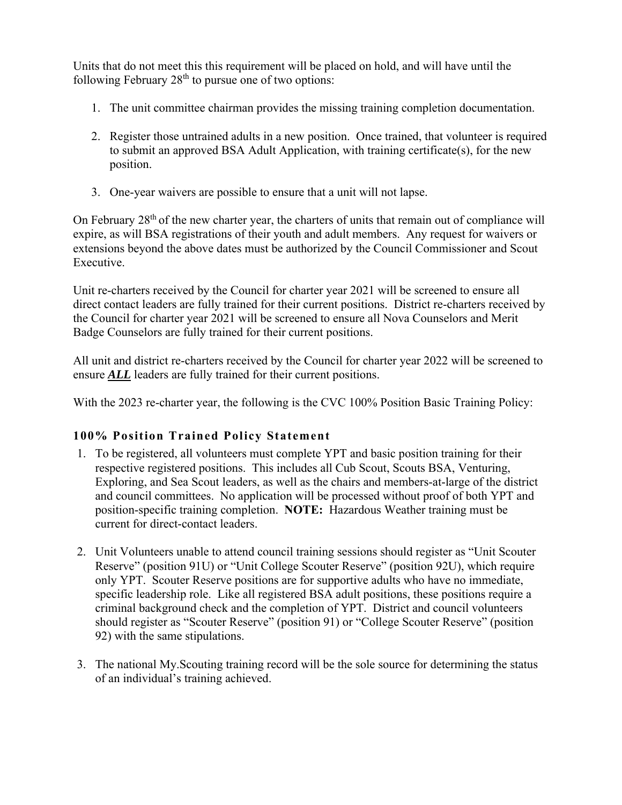Units that do not meet this this requirement will be placed on hold, and will have until the following February  $28<sup>th</sup>$  to pursue one of two options:

- 1. The unit committee chairman provides the missing training completion documentation.
- 2. Register those untrained adults in a new position. Once trained, that volunteer is required to submit an approved BSA Adult Application, with training certificate(s), for the new position.
- 3. One-year waivers are possible to ensure that a unit will not lapse.

On February 28<sup>th</sup> of the new charter year, the charters of units that remain out of compliance will expire, as will BSA registrations of their youth and adult members. Any request for waivers or extensions beyond the above dates must be authorized by the Council Commissioner and Scout Executive.

Unit re-charters received by the Council for charter year 2021 will be screened to ensure all direct contact leaders are fully trained for their current positions. District re-charters received by the Council for charter year 2021 will be screened to ensure all Nova Counselors and Merit Badge Counselors are fully trained for their current positions.

All unit and district re-charters received by the Council for charter year 2022 will be screened to ensure *ALL* leaders are fully trained for their current positions.

With the 2023 re-charter year, the following is the CVC 100% Position Basic Training Policy:

#### **100% Position Trained Policy Statement**

- 1. To be registered, all volunteers must complete YPT and basic position training for their respective registered positions. This includes all Cub Scout, Scouts BSA, Venturing, Exploring, and Sea Scout leaders, as well as the chairs and members‐at‐large of the district and council committees. No application will be processed without proof of both YPT and position-specific training completion. **NOTE:** Hazardous Weather training must be current for direct-contact leaders.
- 2. Unit Volunteers unable to attend council training sessions should register as "Unit Scouter Reserve" (position 91U) or "Unit College Scouter Reserve" (position 92U), which require only YPT. Scouter Reserve positions are for supportive adults who have no immediate, specific leadership role. Like all registered BSA adult positions, these positions require a criminal background check and the completion of YPT. District and council volunteers should register as "Scouter Reserve" (position 91) or "College Scouter Reserve" (position 92) with the same stipulations.
- 3. The national My.Scouting training record will be the sole source for determining the status of an individual's training achieved.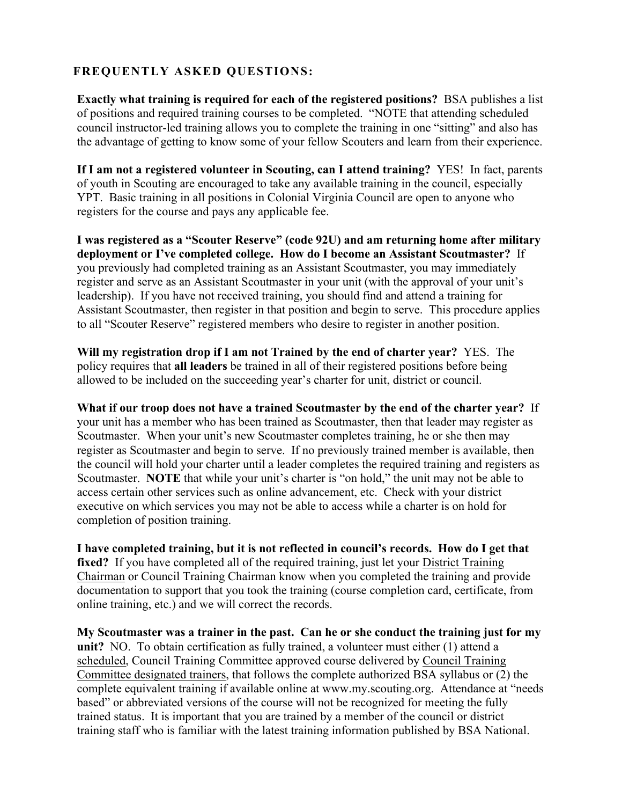## **FREQUENTLY ASKED QUESTIONS:**

**Exactly what training is required for each of the registered positions?** BSA publishes a list of positions and required training courses to be completed. "NOTE that attending scheduled council instructor-led training allows you to complete the training in one "sitting" and also has the advantage of getting to know some of your fellow Scouters and learn from their experience.

**If I am not a registered volunteer in Scouting, can I attend training?** YES! In fact, parents of youth in Scouting are encouraged to take any available training in the council, especially YPT. Basic training in all positions in Colonial Virginia Council are open to anyone who registers for the course and pays any applicable fee.

**I was registered as a "Scouter Reserve" (code 92U) and am returning home after military deployment or I've completed college. How do I become an Assistant Scoutmaster?** If you previously had completed training as an Assistant Scoutmaster, you may immediately register and serve as an Assistant Scoutmaster in your unit (with the approval of your unit's leadership). If you have not received training, you should find and attend a training for Assistant Scoutmaster, then register in that position and begin to serve. This procedure applies to all "Scouter Reserve" registered members who desire to register in another position.

**Will my registration drop if I am not Trained by the end of charter year?** YES. The policy requires that **all leaders** be trained in all of their registered positions before being allowed to be included on the succeeding year's charter for unit, district or council.

**What if our troop does not have a trained Scoutmaster by the end of the charter year?** If your unit has a member who has been trained as Scoutmaster, then that leader may register as Scoutmaster. When your unit's new Scoutmaster completes training, he or she then may register as Scoutmaster and begin to serve. If no previously trained member is available, then the council will hold your charter until a leader completes the required training and registers as Scoutmaster. **NOTE** that while your unit's charter is "on hold," the unit may not be able to access certain other services such as online advancement, etc. Check with your district executive on which services you may not be able to access while a charter is on hold for completion of position training.

**I have completed training, but it is not reflected in council's records. How do I get that fixed?** If you have completed all of the required training, just let your District Training Chairman or Council Training Chairman know when you completed the training and provide documentation to support that you took the training (course completion card, certificate, from online training, etc.) and we will correct the records.

**My Scoutmaster was a trainer in the past. Can he or she conduct the training just for my unit?** NO. To obtain certification as fully trained, a volunteer must either (1) attend a scheduled, Council Training Committee approved course delivered by Council Training Committee designated trainers, that follows the complete authorized BSA syllabus or (2) the complete equivalent training if available online at www.my.scouting.org. Attendance at "needs based" or abbreviated versions of the course will not be recognized for meeting the fully trained status. It is important that you are trained by a member of the council or district training staff who is familiar with the latest training information published by BSA National.